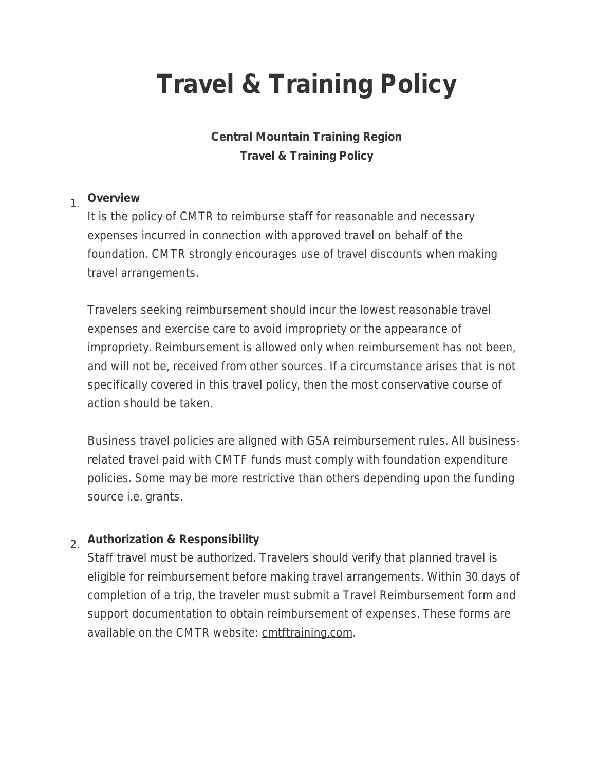# **Travel & Training Policy**

### **Central Mountain Training Region Travel & Training Policy**

#### 1. **Overview**

It is the policy of CMTR to reimburse staff for reasonable and necessary expenses incurred in connection with approved travel on behalf of the foundation. CMTR strongly encourages use of travel discounts when making travel arrangements.

Travelers seeking reimbursement should incur the lowest reasonable travel expenses and exercise care to avoid impropriety or the appearance of impropriety. Reimbursement is allowed only when reimbursement has not been, and will not be, received from other sources. If a circumstance arises that is not specifically covered in this travel policy, then the most conservative course of action should be taken.

Business travel policies are aligned with GSA reimbursement rules. All businessrelated travel paid with CMTF funds must comply with foundation expenditure policies. Some may be more restrictive than others depending upon the funding source i.e. grants.

## 2. **Authorization & Responsibility**

Staff travel must be authorized. Travelers should verify that planned travel is eligible for reimbursement before making travel arrangements. Within 30 days of completion of a trip, the traveler must submit a Travel Reimbursement form and support documentation to obtain reimbursement of expenses. These forms are available on the CMTR website: cmtftraining.com.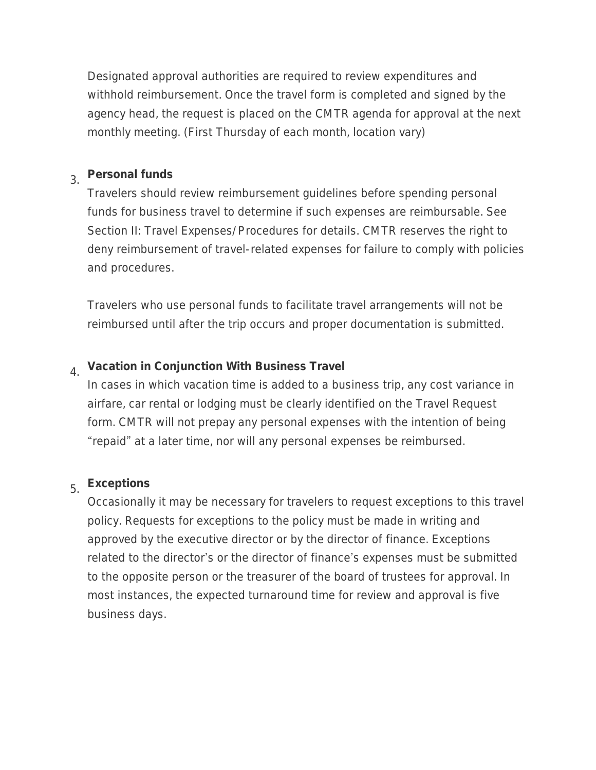Designated approval authorities are required to review expenditures and withhold reimbursement. Once the travel form is completed and signed by the agency head, the request is placed on the CMTR agenda for approval at the next monthly meeting. (First Thursday of each month, location vary)

# 3. **Personal funds**

Travelers should review reimbursement guidelines before spending personal funds for business travel to determine if such expenses are reimbursable. See Section II: Travel Expenses/Procedures for details. CMTR reserves the right to deny reimbursement of travel-related expenses for failure to comply with policies and procedures.

Travelers who use personal funds to facilitate travel arrangements will not be reimbursed until after the trip occurs and proper documentation is submitted.

#### 4. **Vacation in Conjunction With Business Travel**

In cases in which vacation time is added to a business trip, any cost variance in airfare, car rental or lodging must be clearly identified on the Travel Request form. CMTR will not prepay any personal expenses with the intention of being "repaid" at a later time, nor will any personal expenses be reimbursed.

# 5. **Exceptions**

Occasionally it may be necessary for travelers to request exceptions to this travel policy. Requests for exceptions to the policy must be made in writing and approved by the executive director or by the director of finance. Exceptions related to the director's or the director of finance's expenses must be submitted to the opposite person or the treasurer of the board of trustees for approval. In most instances, the expected turnaround time for review and approval is five business days.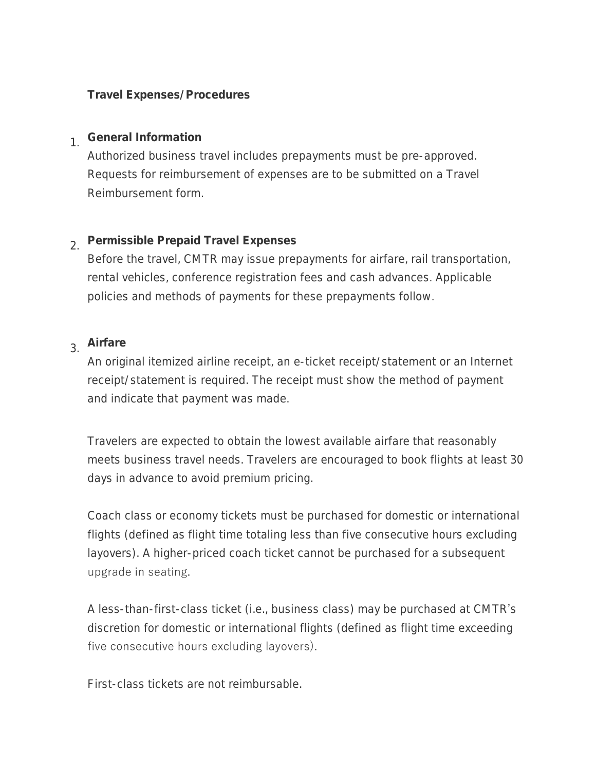#### **Travel Expenses/Procedures**

## 1. **General Information**

Authorized business travel includes prepayments must be pre-approved. Requests for reimbursement of expenses are to be submitted on a Travel Reimbursement form.

# 2. **Permissible Prepaid Travel Expenses**

Before the travel, CMTR may issue prepayments for airfare, rail transportation, rental vehicles, conference registration fees and cash advances. Applicable policies and methods of payments for these prepayments follow.

## 3. **Airfare**

An original itemized airline receipt, an e-ticket receipt/statement or an Internet receipt/statement is required. The receipt must show the method of payment and indicate that payment was made.

Travelers are expected to obtain the lowest available airfare that reasonably meets business travel needs. Travelers are encouraged to book flights at least 30 days in advance to avoid premium pricing.

Coach class or economy tickets must be purchased for domestic or international flights (defined as flight time totaling less than five consecutive hours excluding layovers). A higher-priced coach ticket cannot be purchased for a subsequent upgrade in seating.

A less-than-first-class ticket (i.e., business class) may be purchased at CMTR's discretion for domestic or international flights (defined as flight time exceeding five consecutive hours excluding layovers).

First-class tickets are not reimbursable.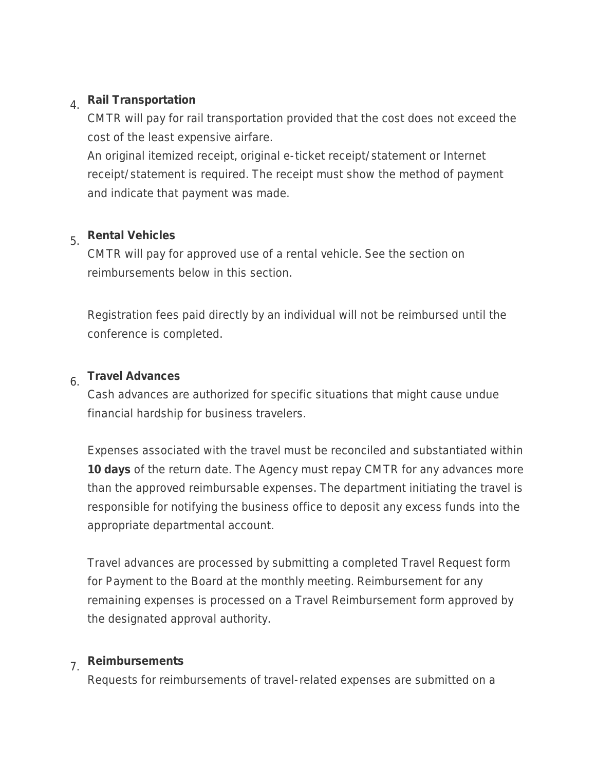# 4. **Rail Transportation**

CMTR will pay for rail transportation provided that the cost does not exceed the cost of the least expensive airfare.

An original itemized receipt, original e-ticket receipt/statement or Internet receipt/statement is required. The receipt must show the method of payment and indicate that payment was made.

# 5. **Rental Vehicles**

CMTR will pay for approved use of a rental vehicle. See the section on reimbursements below in this section.

Registration fees paid directly by an individual will not be reimbursed until the conference is completed.

#### 6. **Travel Advances**

Cash advances are authorized for specific situations that might cause undue financial hardship for business travelers.

Expenses associated with the travel must be reconciled and substantiated within **10 days** of the return date. The Agency must repay CMTR for any advances more than the approved reimbursable expenses. The department initiating the travel is responsible for notifying the business office to deposit any excess funds into the appropriate departmental account.

Travel advances are processed by submitting a completed Travel Request form for Payment to the Board at the monthly meeting. Reimbursement for any remaining expenses is processed on a Travel Reimbursement form approved by the designated approval authority.

# 7. **Reimbursements**

Requests for reimbursements of travel-related expenses are submitted on a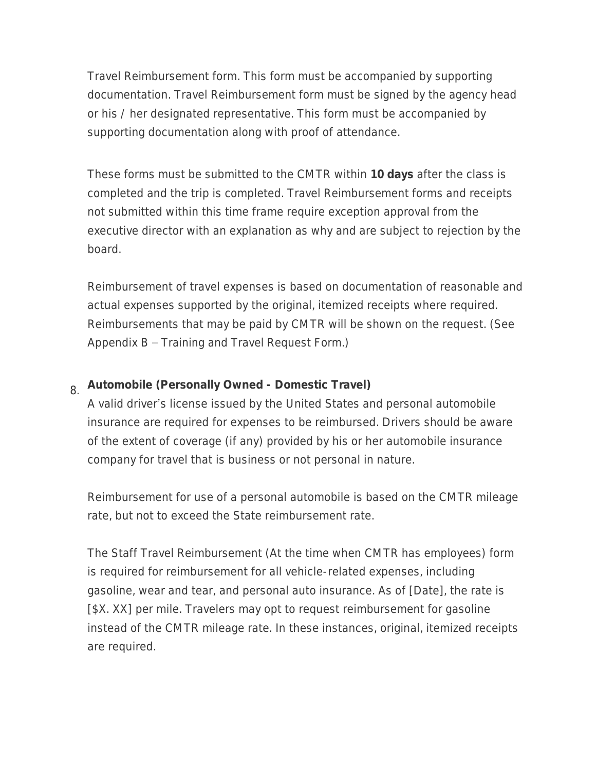Travel Reimbursement form. This form must be accompanied by supporting documentation. Travel Reimbursement form must be signed by the agency head or his / her designated representative. This form must be accompanied by supporting documentation along with proof of attendance.

These forms must be submitted to the CMTR within **10 days** after the class is completed and the trip is completed. Travel Reimbursement forms and receipts not submitted within this time frame require exception approval from the executive director with an explanation as why and are subject to rejection by the board.

Reimbursement of travel expenses is based on documentation of reasonable and actual expenses supported by the original, itemized receipts where required. Reimbursements that may be paid by CMTR will be shown on the request. (See Appendix B – Training and Travel Request Form.)

## 8. **Automobile (Personally Owned - Domestic Travel)**

A valid driver's license issued by the United States and personal automobile insurance are required for expenses to be reimbursed. Drivers should be aware of the extent of coverage (if any) provided by his or her automobile insurance company for travel that is business or not personal in nature.

Reimbursement for use of a personal automobile is based on the CMTR mileage rate, but not to exceed the State reimbursement rate.

The Staff Travel Reimbursement (At the time when CMTR has employees) form is required for reimbursement for all vehicle-related expenses, including gasoline, wear and tear, and personal auto insurance. As of [Date], the rate is [\$X. XX] per mile. Travelers may opt to request reimbursement for gasoline instead of the CMTR mileage rate. In these instances, original, itemized receipts are required.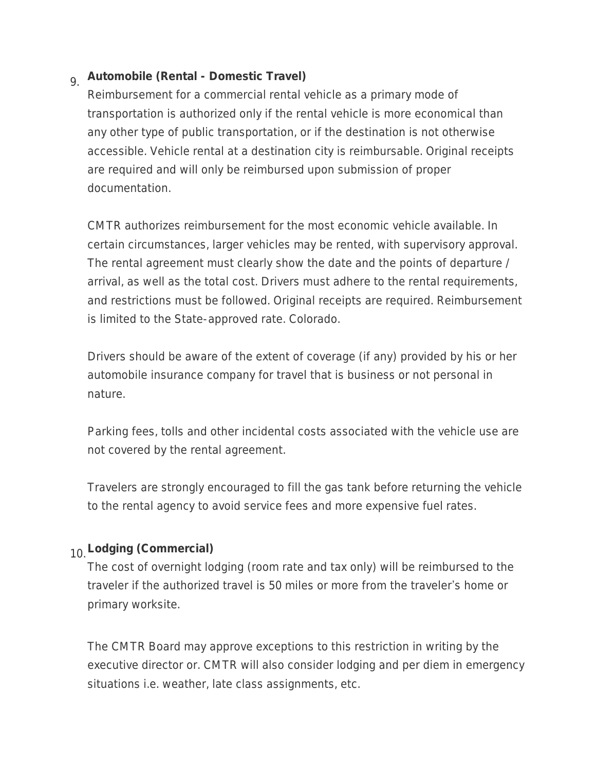## 9. **Automobile (Rental - Domestic Travel)**

Reimbursement for a commercial rental vehicle as a primary mode of transportation is authorized only if the rental vehicle is more economical than any other type of public transportation, or if the destination is not otherwise accessible. Vehicle rental at a destination city is reimbursable. Original receipts are required and will only be reimbursed upon submission of proper documentation.

CMTR authorizes reimbursement for the most economic vehicle available. In certain circumstances, larger vehicles may be rented, with supervisory approval. The rental agreement must clearly show the date and the points of departure / arrival, as well as the total cost. Drivers must adhere to the rental requirements, and restrictions must be followed. Original receipts are required. Reimbursement is limited to the State-approved rate. Colorado.

Drivers should be aware of the extent of coverage (if any) provided by his or her automobile insurance company for travel that is business or not personal in nature.

Parking fees, tolls and other incidental costs associated with the vehicle use are not covered by the rental agreement.

Travelers are strongly encouraged to fill the gas tank before returning the vehicle to the rental agency to avoid service fees and more expensive fuel rates.

#### 10.**Lodging (Commercial)**

The cost of overnight lodging (room rate and tax only) will be reimbursed to the traveler if the authorized travel is 50 miles or more from the traveler's home or primary worksite.

The CMTR Board may approve exceptions to this restriction in writing by the executive director or. CMTR will also consider lodging and per diem in emergency situations i.e. weather, late class assignments, etc.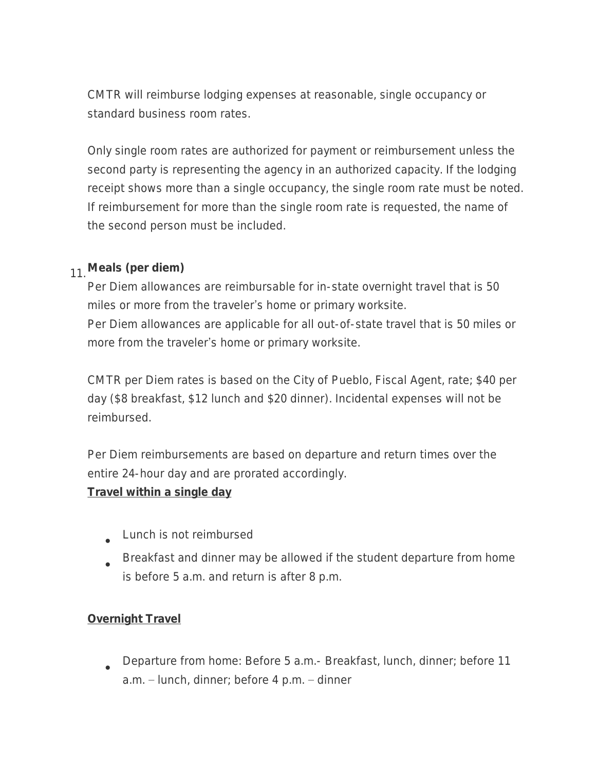CMTR will reimburse lodging expenses at reasonable, single occupancy or standard business room rates.

Only single room rates are authorized for payment or reimbursement unless the second party is representing the agency in an authorized capacity. If the lodging receipt shows more than a single occupancy, the single room rate must be noted. If reimbursement for more than the single room rate is requested, the name of the second person must be included.

#### 11.**Meals (per diem)**

Per Diem allowances are reimbursable for in-state overnight travel that is 50 miles or more from the traveler's home or primary worksite. Per Diem allowances are applicable for all out-of-state travel that is 50 miles or more from the traveler's home or primary worksite.

CMTR per Diem rates is based on the City of Pueblo, Fiscal Agent, rate; \$40 per day (\$8 breakfast, \$12 lunch and \$20 dinner). Incidental expenses will not be reimbursed.

Per Diem reimbursements are based on departure and return times over the entire 24-hour day and are prorated accordingly.

#### **Travel within a single day**

- $\bullet$ Lunch is not reimbursed
- $\bullet$ Breakfast and dinner may be allowed if the student departure from home is before 5 a.m. and return is after 8 p.m.

#### **Overnight Travel**

 $\bullet$ Departure from home: Before 5 a.m.- Breakfast, lunch, dinner; before 11 a.m. – lunch, dinner; before 4 p.m. – dinner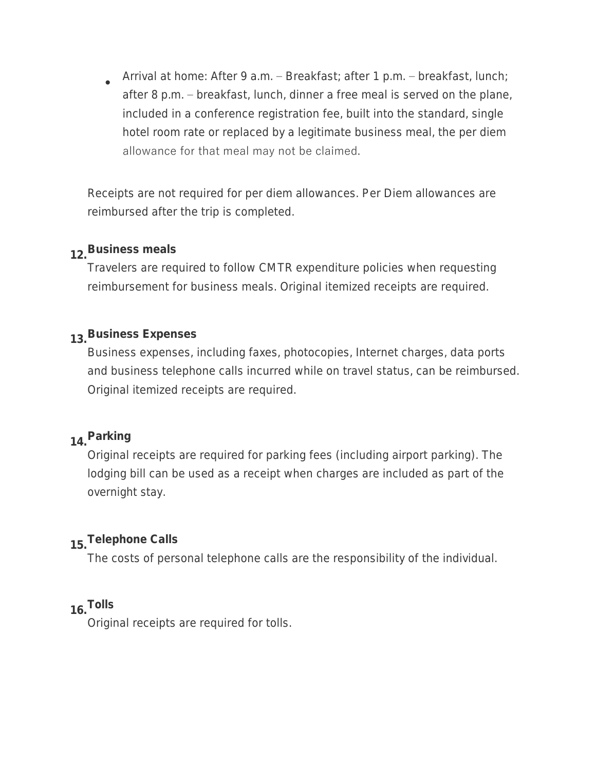$\bullet$ Arrival at home: After 9 a.m. – Breakfast; after 1 p.m. – breakfast, lunch; after 8 p.m. – breakfast, lunch, dinner a free meal is served on the plane, included in a conference registration fee, built into the standard, single hotel room rate or replaced by a legitimate business meal, the per diem allowance for that meal may not be claimed.

Receipts are not required for per diem allowances. Per Diem allowances are reimbursed after the trip is completed.

## **12.Business meals**

Travelers are required to follow CMTR expenditure policies when requesting reimbursement for business meals. Original itemized receipts are required.

## **13.Business Expenses**

Business expenses, including faxes, photocopies, Internet charges, data ports and business telephone calls incurred while on travel status, can be reimbursed. Original itemized receipts are required.

#### **14.Parking**

Original receipts are required for parking fees (including airport parking). The lodging bill can be used as a receipt when charges are included as part of the overnight stay.

## **15.Telephone Calls**

The costs of personal telephone calls are the responsibility of the individual.

#### **16.Tolls**

Original receipts are required for tolls.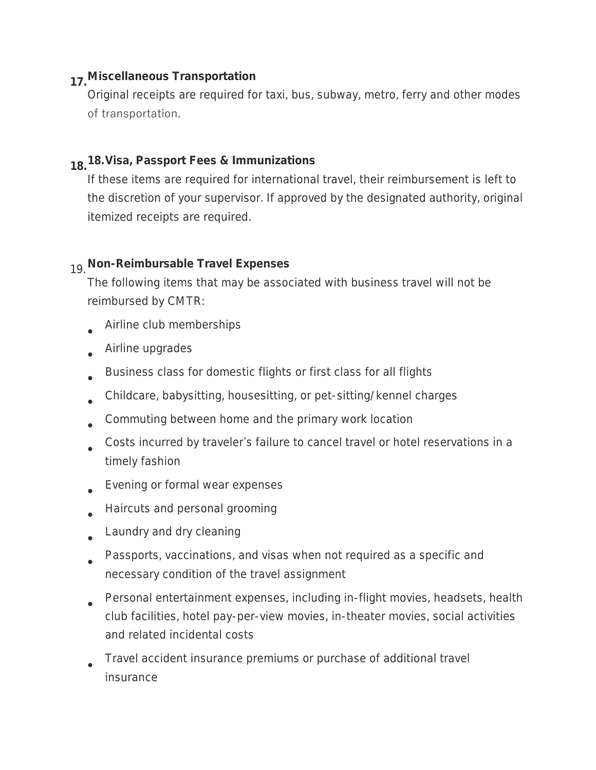#### **17.Miscellaneous Transportation**

Original receipts are required for taxi, bus, subway, metro, ferry and other modes of transportation.

#### **18.18.Visa, Passport Fees & Immunizations**

If these items are required for international travel, their reimbursement is left to the discretion of your supervisor. If approved by the designated authority, original itemized receipts are required.

#### 19.**Non-Reimbursable Travel Expenses**

The following items that may be associated with business travel will not be reimbursed by CMTR:

- $\bullet$ Airline club memberships
- $\bullet$ Airline upgrades
- $\bullet$ Business class for domestic flights or first class for all flights
- $\bullet$ Childcare, babysitting, housesitting, or pet-sitting/kennel charges
- $\bullet$ Commuting between home and the primary work location
- $\bullet$ Costs incurred by traveler's failure to cancel travel or hotel reservations in a timely fashion
- $\bullet$ Evening or formal wear expenses
- $\bullet$ Haircuts and personal grooming
- $\bullet$ Laundry and dry cleaning
- $\bullet$ Passports, vaccinations, and visas when not required as a specific and necessary condition of the travel assignment
- $\bullet$ Personal entertainment expenses, including in-flight movies, headsets, health club facilities, hotel pay-per-view movies, in-theater movies, social activities and related incidental costs
- $\bullet$ Travel accident insurance premiums or purchase of additional travel insurance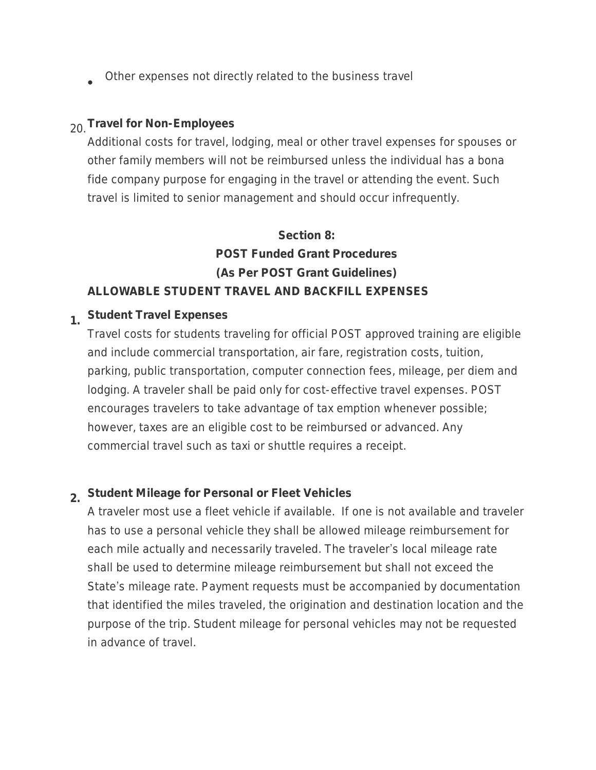$\bullet$ Other expenses not directly related to the business travel

#### 20.**Travel for Non-Employees**

Additional costs for travel, lodging, meal or other travel expenses for spouses or other family members will not be reimbursed unless the individual has a bona fide company purpose for engaging in the travel or attending the event. Such travel is limited to senior management and should occur infrequently.

## **Section 8: POST Funded Grant Procedures (As Per POST Grant Guidelines) ALLOWABLE STUDENT TRAVEL AND BACKFILL EXPENSES**

## **1. Student Travel Expenses**

Travel costs for students traveling for official POST approved training are eligible and include commercial transportation, air fare, registration costs, tuition, parking, public transportation, computer connection fees, mileage, per diem and lodging. A traveler shall be paid only for cost-effective travel expenses. POST encourages travelers to take advantage of tax emption whenever possible; however, taxes are an eligible cost to be reimbursed or advanced. Any commercial travel such as taxi or shuttle requires a receipt.

#### **2. Student Mileage for Personal or Fleet Vehicles**

A traveler most use a fleet vehicle if available. If one is not available and traveler has to use a personal vehicle they shall be allowed mileage reimbursement for each mile actually and necessarily traveled. The traveler's local mileage rate shall be used to determine mileage reimbursement but shall not exceed the State's mileage rate. Payment requests must be accompanied by documentation that identified the miles traveled, the origination and destination location and the purpose of the trip. Student mileage for personal vehicles may not be requested in advance of travel.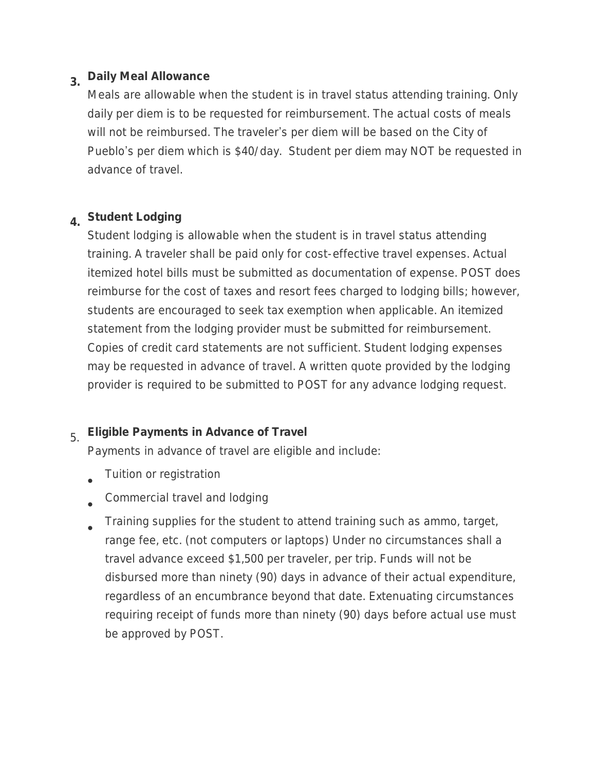# **3. Daily Meal Allowance**

Meals are allowable when the student is in travel status attending training. Only daily per diem is to be requested for reimbursement. The actual costs of meals will not be reimbursed. The traveler's per diem will be based on the City of Pueblo's per diem which is \$40/day. Student per diem may NOT be requested in advance of travel.

## **4. Student Lodging**

Student lodging is allowable when the student is in travel status attending training. A traveler shall be paid only for cost-effective travel expenses. Actual itemized hotel bills must be submitted as documentation of expense. POST does reimburse for the cost of taxes and resort fees charged to lodging bills; however, students are encouraged to seek tax exemption when applicable. An itemized statement from the lodging provider must be submitted for reimbursement. Copies of credit card statements are not sufficient. Student lodging expenses may be requested in advance of travel. A written quote provided by the lodging provider is required to be submitted to POST for any advance lodging request.

## 5. **Eligible Payments in Advance of Travel**

Payments in advance of travel are eligible and include:

- $\bullet$ Tuition or registration
- $\bullet$ Commercial travel and lodging
- $\bullet$ Training supplies for the student to attend training such as ammo, target, range fee, etc. (not computers or laptops) Under no circumstances shall a travel advance exceed \$1,500 per traveler, per trip. Funds will not be disbursed more than ninety (90) days in advance of their actual expenditure, regardless of an encumbrance beyond that date. Extenuating circumstances requiring receipt of funds more than ninety (90) days before actual use must be approved by POST.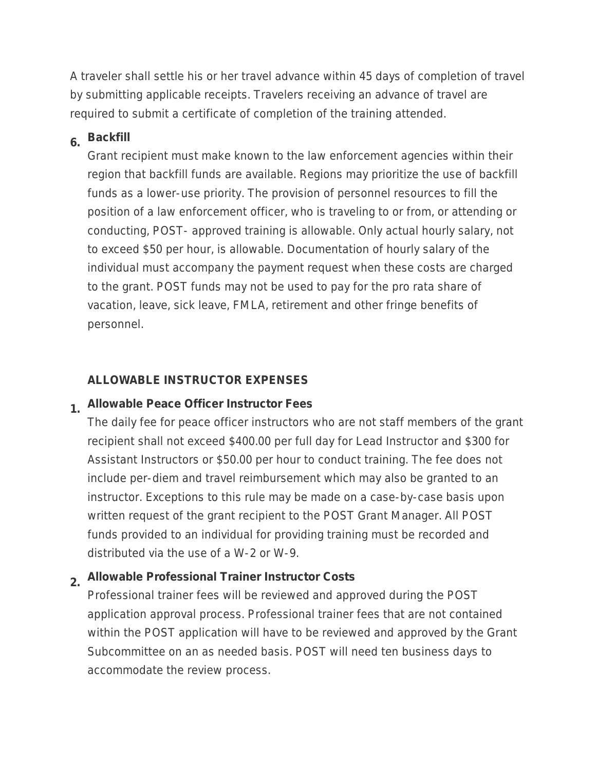A traveler shall settle his or her travel advance within 45 days of completion of travel by submitting applicable receipts. Travelers receiving an advance of travel are required to submit a certificate of completion of the training attended.

## **6. Backfill**

Grant recipient must make known to the law enforcement agencies within their region that backfill funds are available. Regions may prioritize the use of backfill funds as a lower-use priority. The provision of personnel resources to fill the position of a law enforcement officer, who is traveling to or from, or attending or conducting, POST- approved training is allowable. Only actual hourly salary, not to exceed \$50 per hour, is allowable. Documentation of hourly salary of the individual must accompany the payment request when these costs are charged to the grant. POST funds may not be used to pay for the pro rata share of vacation, leave, sick leave, FMLA, retirement and other fringe benefits of personnel.

#### **ALLOWABLE INSTRUCTOR EXPENSES**

#### **1. Allowable Peace Officer Instructor Fees**

The daily fee for peace officer instructors who are not staff members of the grant recipient shall not exceed \$400.00 per full day for Lead Instructor and \$300 for Assistant Instructors or \$50.00 per hour to conduct training. The fee does not include per-diem and travel reimbursement which may also be granted to an instructor. Exceptions to this rule may be made on a case-by-case basis upon written request of the grant recipient to the POST Grant Manager. All POST funds provided to an individual for providing training must be recorded and distributed via the use of a W-2 or W-9.

#### **2. Allowable Professional Trainer Instructor Costs**

Professional trainer fees will be reviewed and approved during the POST application approval process. Professional trainer fees that are not contained within the POST application will have to be reviewed and approved by the Grant Subcommittee on an as needed basis. POST will need ten business days to accommodate the review process.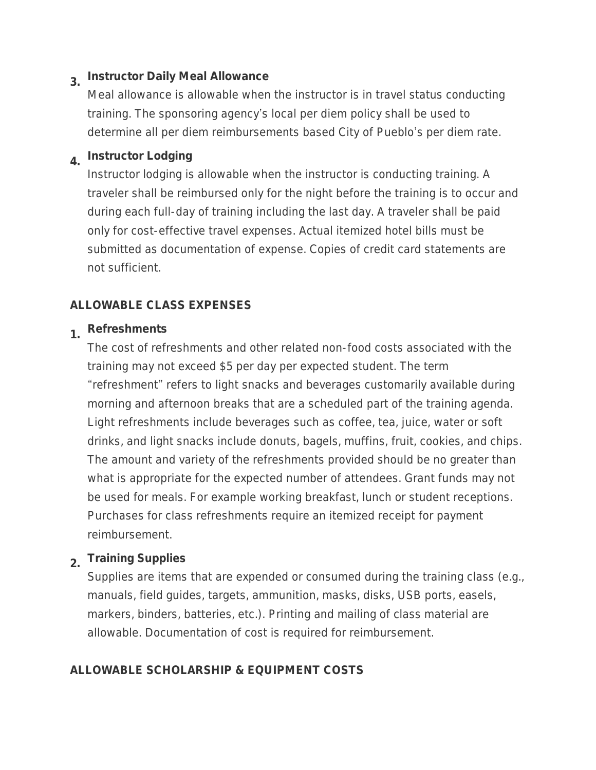## **3. Instructor Daily Meal Allowance**

Meal allowance is allowable when the instructor is in travel status conducting training. The sponsoring agency's local per diem policy shall be used to determine all per diem reimbursements based City of Pueblo's per diem rate.

# **4. Instructor Lodging**

Instructor lodging is allowable when the instructor is conducting training. A traveler shall be reimbursed only for the night before the training is to occur and during each full-day of training including the last day. A traveler shall be paid only for cost-effective travel expenses. Actual itemized hotel bills must be submitted as documentation of expense. Copies of credit card statements are not sufficient.

#### **ALLOWABLE CLASS EXPENSES**

## **1. Refreshments**

The cost of refreshments and other related non-food costs associated with the training may not exceed \$5 per day per expected student. The term "refreshment" refers to light snacks and beverages customarily available during morning and afternoon breaks that are a scheduled part of the training agenda. Light refreshments include beverages such as coffee, tea, juice, water or soft drinks, and light snacks include donuts, bagels, muffins, fruit, cookies, and chips. The amount and variety of the refreshments provided should be no greater than what is appropriate for the expected number of attendees. Grant funds may not be used for meals. For example working breakfast, lunch or student receptions. Purchases for class refreshments require an itemized receipt for payment reimbursement.

## **2. Training Supplies**

Supplies are items that are expended or consumed during the training class (e.g., manuals, field guides, targets, ammunition, masks, disks, USB ports, easels, markers, binders, batteries, etc.). Printing and mailing of class material are allowable. Documentation of cost is required for reimbursement.

#### **ALLOWABLE SCHOLARSHIP & EQUIPMENT COSTS**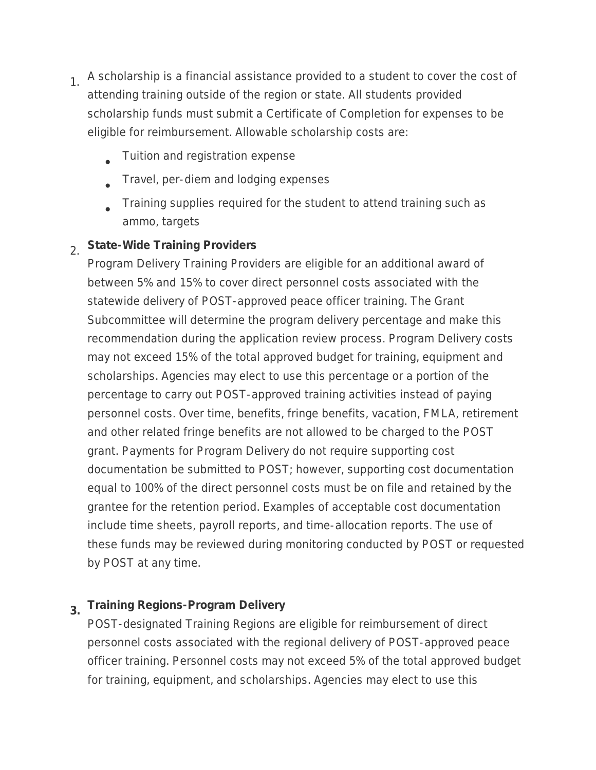- 1. A scholarship is a financial assistance provided to a student to cover the cost of attending training outside of the region or state. All students provided scholarship funds must submit a Certificate of Completion for expenses to be eligible for reimbursement. Allowable scholarship costs are:
	- $\bullet$ Tuition and registration expense
	- $\bullet$ Travel, per-diem and lodging expenses
	- $\bullet$ Training supplies required for the student to attend training such as ammo, targets

#### 2. **State-Wide Training Providers**

Program Delivery Training Providers are eligible for an additional award of between 5% and 15% to cover direct personnel costs associated with the statewide delivery of POST-approved peace officer training. The Grant Subcommittee will determine the program delivery percentage and make this recommendation during the application review process. Program Delivery costs may not exceed 15% of the total approved budget for training, equipment and scholarships. Agencies may elect to use this percentage or a portion of the percentage to carry out POST-approved training activities instead of paying personnel costs. Over time, benefits, fringe benefits, vacation, FMLA, retirement and other related fringe benefits are not allowed to be charged to the POST grant. Payments for Program Delivery do not require supporting cost documentation be submitted to POST; however, supporting cost documentation equal to 100% of the direct personnel costs must be on file and retained by the grantee for the retention period. Examples of acceptable cost documentation include time sheets, payroll reports, and time-allocation reports. The use of these funds may be reviewed during monitoring conducted by POST or requested by POST at any time.

## **3. Training Regions-Program Delivery**

POST-designated Training Regions are eligible for reimbursement of direct personnel costs associated with the regional delivery of POST-approved peace officer training. Personnel costs may not exceed 5% of the total approved budget for training, equipment, and scholarships. Agencies may elect to use this